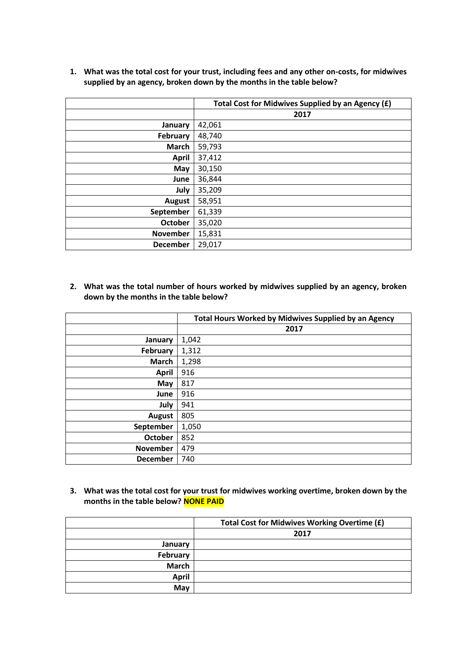**1. What was the total cost for your trust, including fees and any other on-costs, for midwives supplied by an agency, broken down by the months in the table below?**

|                 | Total Cost for Midwives Supplied by an Agency (£) |
|-----------------|---------------------------------------------------|
|                 | 2017                                              |
| January         | 42,061                                            |
| February        | 48,740                                            |
| <b>March</b>    | 59,793                                            |
| <b>April</b>    | 37,412                                            |
| May             | 30,150                                            |
| June            | 36,844                                            |
| July            | 35,209                                            |
| <b>August</b>   | 58,951                                            |
| September       | 61,339                                            |
| <b>October</b>  | 35,020                                            |
| <b>November</b> | 15,831                                            |
| <b>December</b> | 29,017                                            |

**2. What was the total number of hours worked by midwives supplied by an agency, broken down by the months in the table below?**

|                 | <b>Total Hours Worked by Midwives Supplied by an Agency</b> |
|-----------------|-------------------------------------------------------------|
|                 | 2017                                                        |
| January         | 1,042                                                       |
| February        | 1,312                                                       |
| March           | 1,298                                                       |
| <b>April</b>    | 916                                                         |
| May             | 817                                                         |
| June            | 916                                                         |
| July            | 941                                                         |
| <b>August</b>   | 805                                                         |
| September       | 1,050                                                       |
| <b>October</b>  | 852                                                         |
| <b>November</b> | 479                                                         |
| <b>December</b> | 740                                                         |

**3. What was the total cost for your trust for midwives working overtime, broken down by the months in the table below? NONE PAID**

|              | Total Cost for Midwives Working Overtime (£) |
|--------------|----------------------------------------------|
|              | 2017                                         |
| January      |                                              |
| February     |                                              |
| <b>March</b> |                                              |
| <b>April</b> |                                              |
| May          |                                              |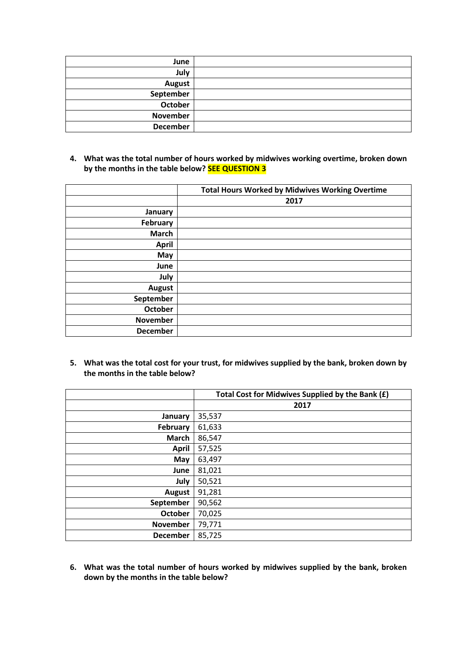| June            |  |
|-----------------|--|
| July            |  |
| <b>August</b>   |  |
| September       |  |
| October         |  |
| November        |  |
| <b>December</b> |  |

**4. What was the total number of hours worked by midwives working overtime, broken down by the months in the table below? SEE QUESTION 3**

|                 | <b>Total Hours Worked by Midwives Working Overtime</b> |
|-----------------|--------------------------------------------------------|
|                 | 2017                                                   |
| January         |                                                        |
| February        |                                                        |
| <b>March</b>    |                                                        |
| <b>April</b>    |                                                        |
| May             |                                                        |
| June            |                                                        |
| July            |                                                        |
| <b>August</b>   |                                                        |
| September       |                                                        |
| <b>October</b>  |                                                        |
| <b>November</b> |                                                        |
| <b>December</b> |                                                        |

**5. What was the total cost for your trust, for midwives supplied by the bank, broken down by the months in the table below?**

|                 | Total Cost for Midwives Supplied by the Bank (£) |
|-----------------|--------------------------------------------------|
|                 | 2017                                             |
| January         | 35,537                                           |
| February        | 61,633                                           |
| <b>March</b>    | 86,547                                           |
| <b>April</b>    | 57,525                                           |
| May             | 63,497                                           |
| June            | 81,021                                           |
| July            | 50,521                                           |
| <b>August</b>   | 91,281                                           |
| September       | 90,562                                           |
| <b>October</b>  | 70,025                                           |
| <b>November</b> | 79,771                                           |
| December        | 85,725                                           |

**6. What was the total number of hours worked by midwives supplied by the bank, broken down by the months in the table below?**